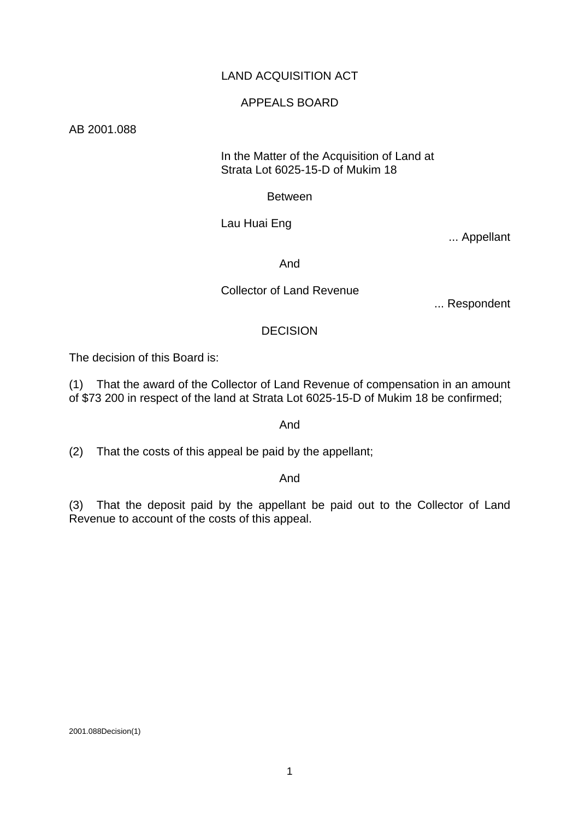## LAND ACQUISITION ACT

#### APPEALS BOARD

AB 2001.088

#### In the Matter of the Acquisition of Land at Strata Lot 6025-15-D of Mukim 18

Between

Lau Huai Eng

... Appellant

And

## Collector of Land Revenue

... Respondent

## **DECISION**

The decision of this Board is:

(1) That the award of the Collector of Land Revenue of compensation in an amount of \$73 200 in respect of the land at Strata Lot 6025-15-D of Mukim 18 be confirmed;

And

(2) That the costs of this appeal be paid by the appellant;

And

(3) That the deposit paid by the appellant be paid out to the Collector of Land Revenue to account of the costs of this appeal.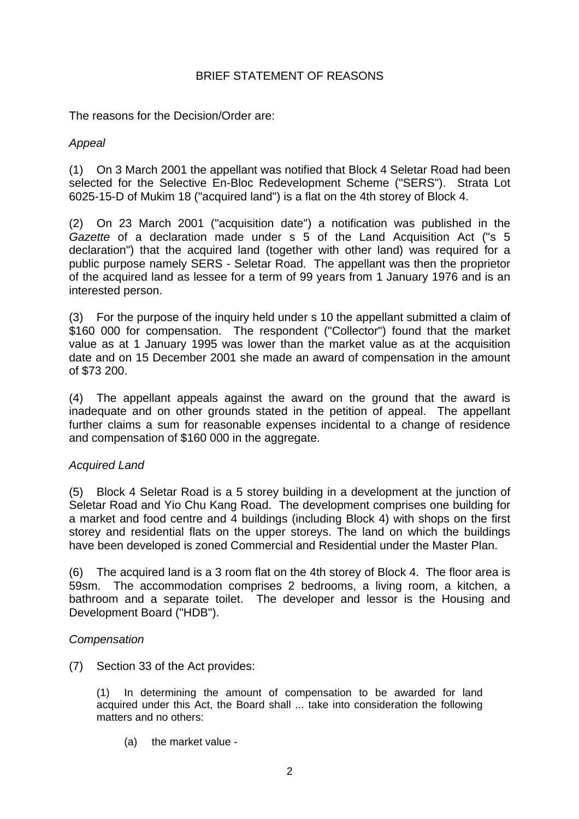# BRIEF STATEMENT OF REASONS

The reasons for the Decision/Order are:

## *Appeal*

(1) On 3 March 2001 the appellant was notified that Block 4 Seletar Road had been selected for the Selective En-Bloc Redevelopment Scheme ("SERS"). Strata Lot 6025-15-D of Mukim 18 ("acquired land") is a flat on the 4th storey of Block 4.

(2) On 23 March 2001 ("acquisition date") a notification was published in the *Gazette* of a declaration made under s 5 of the Land Acquisition Act ("s 5 declaration") that the acquired land (together with other land) was required for a public purpose namely SERS - Seletar Road. The appellant was then the proprietor of the acquired land as lessee for a term of 99 years from 1 January 1976 and is an interested person.

(3) For the purpose of the inquiry held under s 10 the appellant submitted a claim of \$160 000 for compensation. The respondent ("Collector") found that the market value as at 1 January 1995 was lower than the market value as at the acquisition date and on 15 December 2001 she made an award of compensation in the amount of \$73 200.

(4) The appellant appeals against the award on the ground that the award is inadequate and on other grounds stated in the petition of appeal. The appellant further claims a sum for reasonable expenses incidental to a change of residence and compensation of \$160 000 in the aggregate.

## *Acquired Land*

(5) Block 4 Seletar Road is a 5 storey building in a development at the junction of Seletar Road and Yio Chu Kang Road. The development comprises one building for a market and food centre and 4 buildings (including Block 4) with shops on the first storey and residential flats on the upper storeys. The land on which the buildings have been developed is zoned Commercial and Residential under the Master Plan.

(6) The acquired land is a 3 room flat on the 4th storey of Block 4. The floor area is 59sm. The accommodation comprises 2 bedrooms, a living room, a kitchen, a bathroom and a separate toilet. The developer and lessor is the Housing and Development Board ("HDB").

## *Compensation*

(7) Section 33 of the Act provides:

(1) In determining the amount of compensation to be awarded for land acquired under this Act, the Board shall ... take into consideration the following matters and no others:

(a) the market value -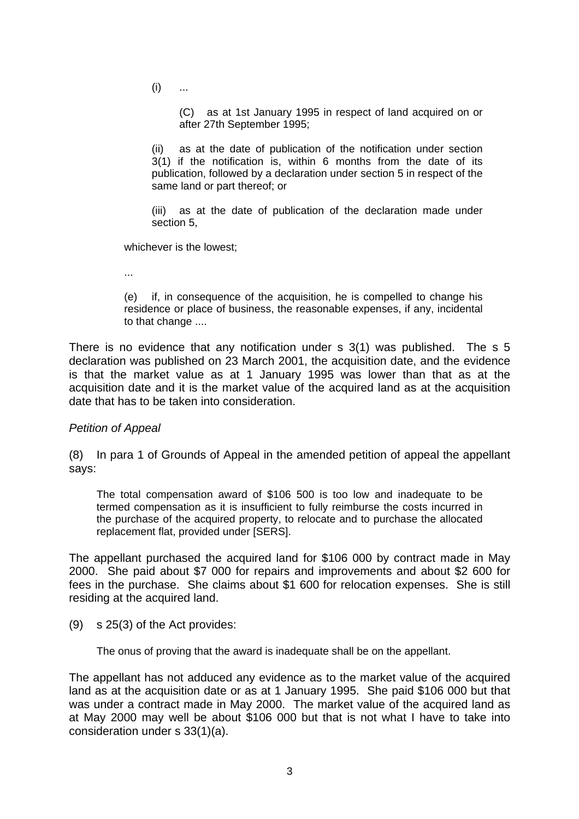$(i)$  ...

 (C) as at 1st January 1995 in respect of land acquired on or after 27th September 1995;

(ii) as at the date of publication of the notification under section 3(1) if the notification is, within 6 months from the date of its publication, followed by a declaration under section 5 in respect of the same land or part thereof; or

(iii) as at the date of publication of the declaration made under section 5,

whichever is the lowest;

...

 (e) if, in consequence of the acquisition, he is compelled to change his residence or place of business, the reasonable expenses, if any, incidental to that change ....

There is no evidence that any notification under s 3(1) was published. The s 5 declaration was published on 23 March 2001, the acquisition date, and the evidence is that the market value as at 1 January 1995 was lower than that as at the acquisition date and it is the market value of the acquired land as at the acquisition date that has to be taken into consideration.

#### *Petition of Appeal*

(8) In para 1 of Grounds of Appeal in the amended petition of appeal the appellant says:

The total compensation award of \$106 500 is too low and inadequate to be termed compensation as it is insufficient to fully reimburse the costs incurred in the purchase of the acquired property, to relocate and to purchase the allocated replacement flat, provided under [SERS].

The appellant purchased the acquired land for \$106 000 by contract made in May 2000. She paid about \$7 000 for repairs and improvements and about \$2 600 for fees in the purchase. She claims about \$1 600 for relocation expenses. She is still residing at the acquired land.

(9) s 25(3) of the Act provides:

The onus of proving that the award is inadequate shall be on the appellant.

The appellant has not adduced any evidence as to the market value of the acquired land as at the acquisition date or as at 1 January 1995. She paid \$106 000 but that was under a contract made in May 2000. The market value of the acquired land as at May 2000 may well be about \$106 000 but that is not what I have to take into consideration under s 33(1)(a).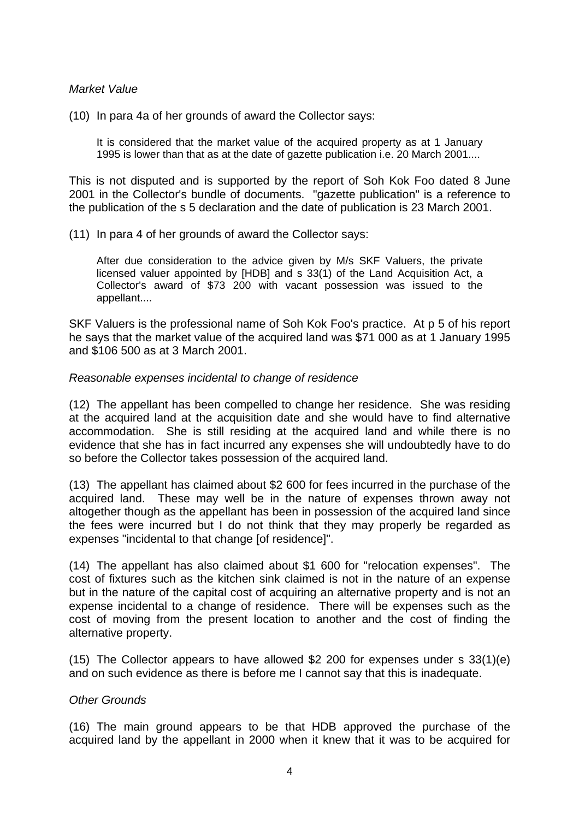#### *Market Value*

(10) In para 4a of her grounds of award the Collector says:

It is considered that the market value of the acquired property as at 1 January 1995 is lower than that as at the date of gazette publication i.e. 20 March 2001....

This is not disputed and is supported by the report of Soh Kok Foo dated 8 June 2001 in the Collector's bundle of documents. "gazette publication" is a reference to the publication of the s 5 declaration and the date of publication is 23 March 2001.

#### (11) In para 4 of her grounds of award the Collector says:

After due consideration to the advice given by M/s SKF Valuers, the private licensed valuer appointed by [HDB] and s 33(1) of the Land Acquisition Act, a Collector's award of \$73 200 with vacant possession was issued to the appellant....

SKF Valuers is the professional name of Soh Kok Foo's practice. At p 5 of his report he says that the market value of the acquired land was \$71 000 as at 1 January 1995 and \$106 500 as at 3 March 2001.

#### *Reasonable expenses incidental to change of residence*

(12) The appellant has been compelled to change her residence. She was residing at the acquired land at the acquisition date and she would have to find alternative accommodation. She is still residing at the acquired land and while there is no evidence that she has in fact incurred any expenses she will undoubtedly have to do so before the Collector takes possession of the acquired land.

(13) The appellant has claimed about \$2 600 for fees incurred in the purchase of the acquired land. These may well be in the nature of expenses thrown away not altogether though as the appellant has been in possession of the acquired land since the fees were incurred but I do not think that they may properly be regarded as expenses "incidental to that change [of residence]".

(14) The appellant has also claimed about \$1 600 for "relocation expenses". The cost of fixtures such as the kitchen sink claimed is not in the nature of an expense but in the nature of the capital cost of acquiring an alternative property and is not an expense incidental to a change of residence. There will be expenses such as the cost of moving from the present location to another and the cost of finding the alternative property.

(15) The Collector appears to have allowed \$2 200 for expenses under s 33(1)(e) and on such evidence as there is before me I cannot say that this is inadequate.

#### *Other Grounds*

(16) The main ground appears to be that HDB approved the purchase of the acquired land by the appellant in 2000 when it knew that it was to be acquired for